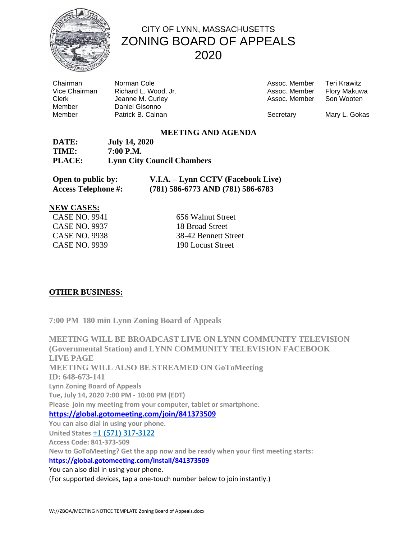

## CITY OF LYNN, MASSACHUSETTS ZONING BOARD OF APPEALS 2020

Chairman **Norman Cole**<br>Vice Chairman Richard L. Wo Member Daniel Gisonno

Richard L. Wood, Jr. Clerk Jeanne M. Curley Member **Patrick B. Calnan Network** Secretary Mary L. Gokas

| Teri Krawitz        |
|---------------------|
| <b>Flory Makuwa</b> |
| Son Wooten          |
|                     |

### **MEETING AND AGENDA**

| DATE:  | <b>July 14, 2020</b>              |
|--------|-----------------------------------|
| TIME:  | 7:00 P.M.                         |
| PLACE: | <b>Lynn City Council Chambers</b> |

| Open to public by:         | V.I.A. - Lynn CCTV (Facebook Live)    |
|----------------------------|---------------------------------------|
| <b>Access Telephone #:</b> | $(781)$ 586-6773 AND $(781)$ 586-6783 |

#### **NEW CASES:**

| CASE NO. 9941 |  |
|---------------|--|
| CASE NO. 9937 |  |
| CASE NO. 9938 |  |
| CASE NO. 9939 |  |

656 Walnut Street 18 Broad Street 38-42 Bennett Street 190 Locust Street

### **OTHER BUSINESS:**

**7:00 PM 180 min Lynn Zoning Board of Appeals**

**MEETING WILL BE BROADCAST LIVE ON LYNN COMMUNITY TELEVISION (Governmental Station) and LYNN COMMUNITY TELEVISION FACEBOOK LIVE PAGE MEETING WILL ALSO BE STREAMED ON GoToMeeting ID: 648-673-141 Lynn Zoning Board of Appeals Tue, July 14, 2020 7:00 PM - 10:00 PM (EDT) Please join my meeting from your computer, tablet or smartphone. <https://global.gotomeeting.com/join/841373509> You can also dial in using your phone. United States +1 (571) 317-3122 Access Code: 841-373-509 New to GoToMeeting? Get the app now and be ready when your first meeting starts: https://global.gotomeeting.com/install/841373509** You can also dial in using your phone.